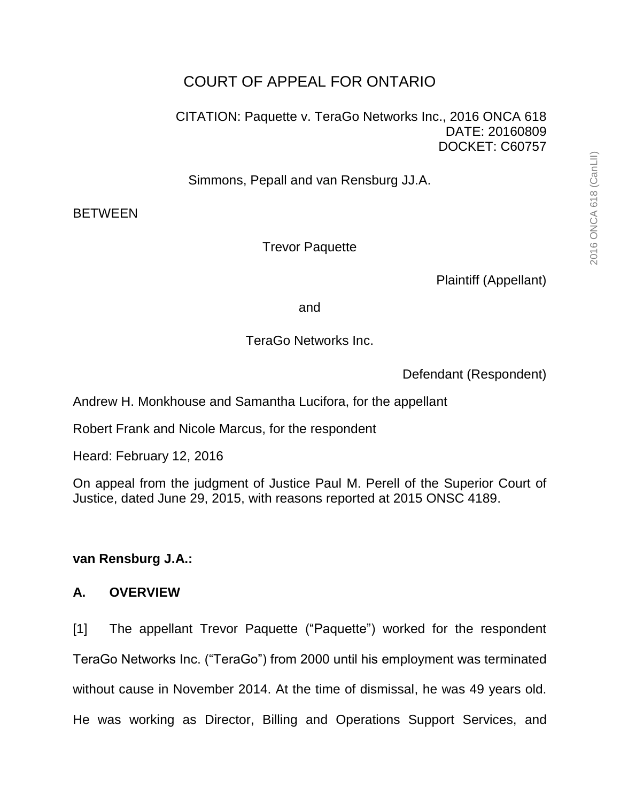CITATION: Paquette v. TeraGo Networks Inc., 2016 ONCA 618 DATE: 20160809 DOCKET: C60757

Simmons, Pepall and van Rensburg JJ.A.

**BETWEEN** 

Trevor Paquette

Plaintiff (Appellant)

and

TeraGo Networks Inc.

Defendant (Respondent)

Andrew H. Monkhouse and Samantha Lucifora, for the appellant

Robert Frank and Nicole Marcus, for the respondent

Heard: February 12, 2016

On appeal from the judgment of Justice Paul M. Perell of the Superior Court of Justice, dated June 29, 2015, with reasons reported at 2015 ONSC 4189.

# **van Rensburg J.A.:**

# **A. OVERVIEW**

[1] The appellant Trevor Paquette ("Paquette") worked for the respondent TeraGo Networks Inc. ("TeraGo") from 2000 until his employment was terminated without cause in November 2014. At the time of dismissal, he was 49 years old. He was working as Director, Billing and Operations Support Services, and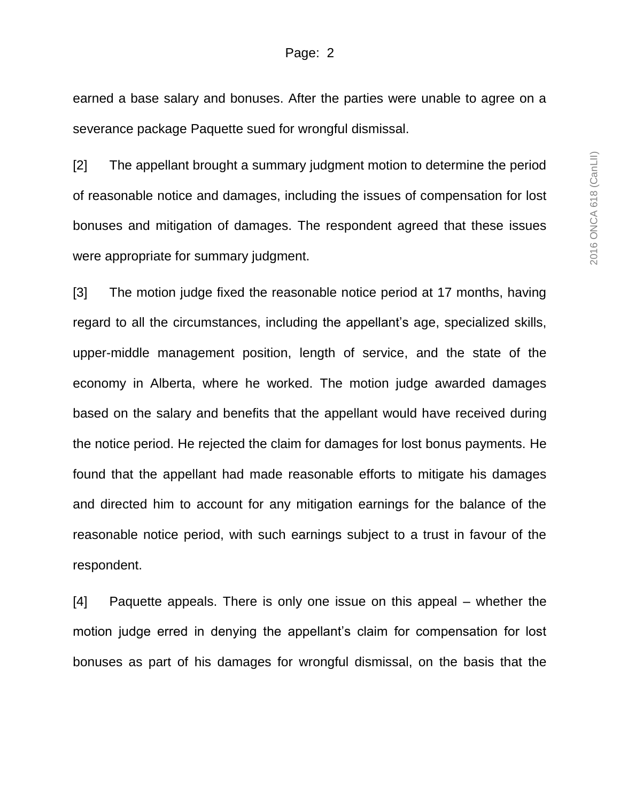earned a base salary and bonuses. After the parties were unable to agree on a severance package Paquette sued for wrongful dismissal.

[2] The appellant brought a summary judgment motion to determine the period of reasonable notice and damages, including the issues of compensation for lost bonuses and mitigation of damages. The respondent agreed that these issues were appropriate for summary judgment.

[3] The motion judge fixed the reasonable notice period at 17 months, having regard to all the circumstances, including the appellant's age, specialized skills, upper-middle management position, length of service, and the state of the economy in Alberta, where he worked. The motion judge awarded damages based on the salary and benefits that the appellant would have received during the notice period. He rejected the claim for damages for lost bonus payments. He found that the appellant had made reasonable efforts to mitigate his damages and directed him to account for any mitigation earnings for the balance of the reasonable notice period, with such earnings subject to a trust in favour of the respondent.

[4] Paquette appeals. There is only one issue on this appeal – whether the motion judge erred in denying the appellant's claim for compensation for lost bonuses as part of his damages for wrongful dismissal, on the basis that the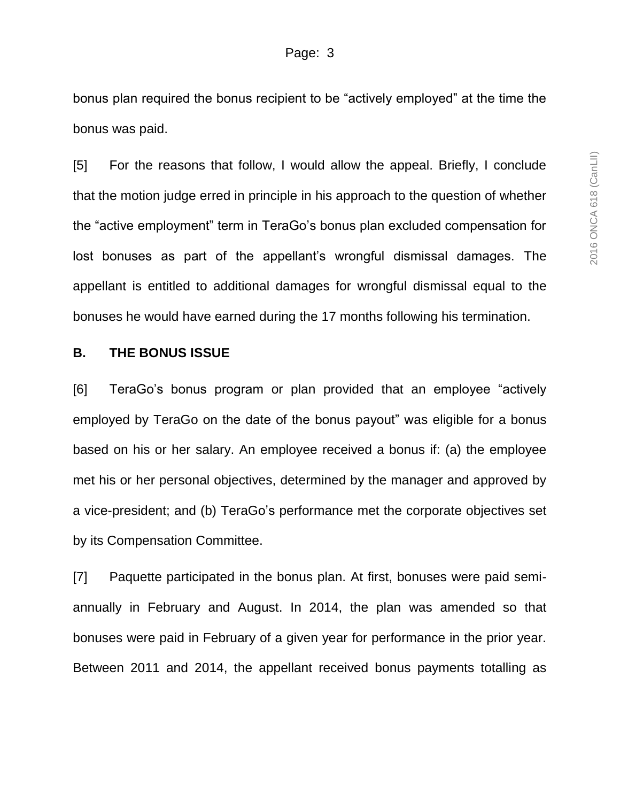bonus plan required the bonus recipient to be "actively employed" at the time the bonus was paid.

[5] For the reasons that follow, I would allow the appeal. Briefly, I conclude that the motion judge erred in principle in his approach to the question of whether the "active employment" term in TeraGo's bonus plan excluded compensation for lost bonuses as part of the appellant's wrongful dismissal damages. The appellant is entitled to additional damages for wrongful dismissal equal to the bonuses he would have earned during the 17 months following his termination.

### **B. THE BONUS ISSUE**

[6] TeraGo's bonus program or plan provided that an employee "actively employed by TeraGo on the date of the bonus payout" was eligible for a bonus based on his or her salary. An employee received a bonus if: (a) the employee met his or her personal objectives, determined by the manager and approved by a vice-president; and (b) TeraGo's performance met the corporate objectives set by its Compensation Committee.

[7] Paquette participated in the bonus plan. At first, bonuses were paid semiannually in February and August. In 2014, the plan was amended so that bonuses were paid in February of a given year for performance in the prior year. Between 2011 and 2014, the appellant received bonus payments totalling as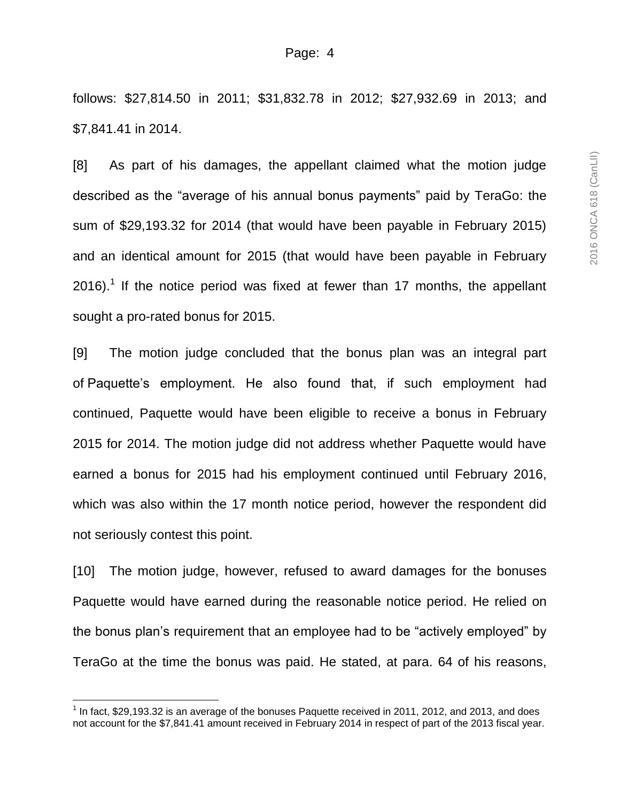follows: \$27,814.50 in 2011; \$31,832.78 in 2012; \$27,932.69 in 2013; and \$7,841.41 in 2014.

[8] As part of his damages, the appellant claimed what the motion judge described as the "average of his annual bonus payments" paid by TeraGo: the sum of \$29,193.32 for 2014 (that would have been payable in February 2015) and an identical amount for 2015 (that would have been payable in February 2016).<sup>1</sup> If the notice period was fixed at fewer than 17 months, the appellant sought a pro-rated bonus for 2015.

[9] The motion judge concluded that the bonus plan was an integral part of Paquette's employment. He also found that, if such employment had continued, Paquette would have been eligible to receive a bonus in February 2015 for 2014. The motion judge did not address whether Paquette would have earned a bonus for 2015 had his employment continued until February 2016, which was also within the 17 month notice period, however the respondent did not seriously contest this point.

[10] The motion judge, however, refused to award damages for the bonuses Paquette would have earned during the reasonable notice period. He relied on the bonus plan's requirement that an employee had to be "actively employed" by TeraGo at the time the bonus was paid. He stated, at para. 64 of his reasons,

l

 $<sup>1</sup>$  In fact, \$29,193.32 is an average of the bonuses Paquette received in 2011, 2012, and 2013, and does</sup> not account for the \$7,841.41 amount received in February 2014 in respect of part of the 2013 fiscal year.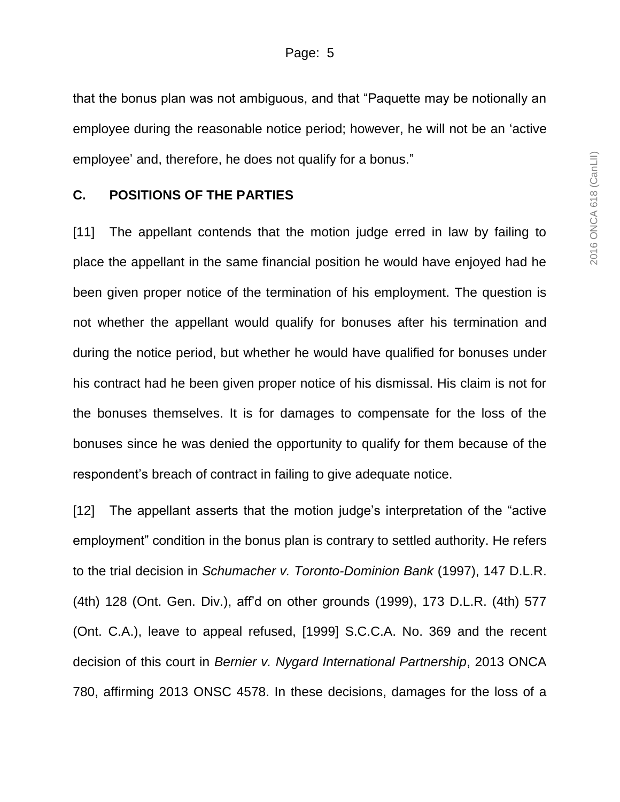that the bonus plan was not ambiguous, and that "Paquette may be notionally an employee during the reasonable notice period; however, he will not be an 'active employee' and, therefore, he does not qualify for a bonus."

### **C. POSITIONS OF THE PARTIES**

[11] The appellant contends that the motion judge erred in law by failing to place the appellant in the same financial position he would have enjoyed had he been given proper notice of the termination of his employment. The question is not whether the appellant would qualify for bonuses after his termination and during the notice period, but whether he would have qualified for bonuses under his contract had he been given proper notice of his dismissal. His claim is not for the bonuses themselves. It is for damages to compensate for the loss of the bonuses since he was denied the opportunity to qualify for them because of the respondent's breach of contract in failing to give adequate notice.

[12] The appellant asserts that the motion judge's interpretation of the "active employment" condition in the bonus plan is contrary to settled authority. He refers to the trial decision in *Schumacher v. Toronto-Dominion Bank* (1997), 147 D.L.R. (4th) 128 (Ont. Gen. Div.), aff'd on other grounds (1999), 173 D.L.R. (4th) 577 (Ont. C.A.), leave to appeal refused, [1999] S.C.C.A. No. 369 and the recent decision of this court in *Bernier v. Nygard International Partnership*, 2013 ONCA 780, affirming 2013 ONSC 4578. In these decisions, damages for the loss of a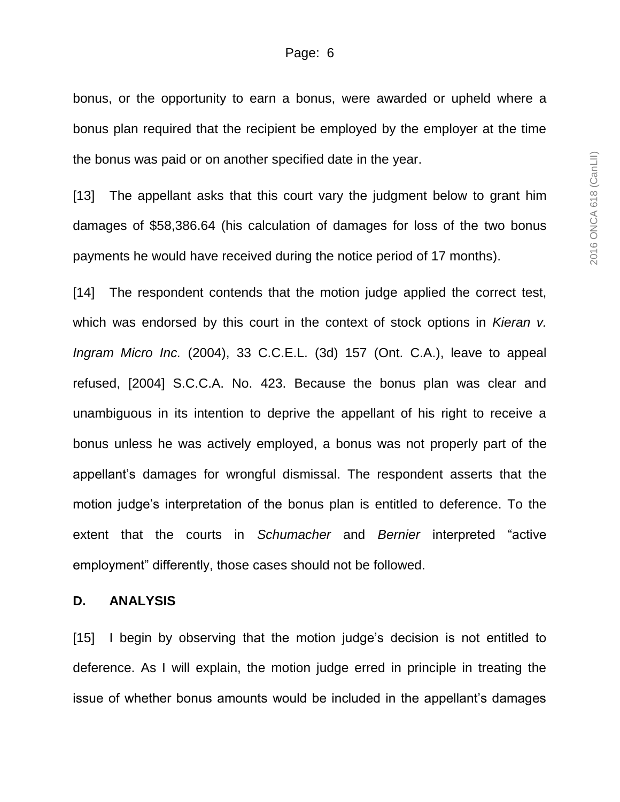bonus, or the opportunity to earn a bonus, were awarded or upheld where a bonus plan required that the recipient be employed by the employer at the time the bonus was paid or on another specified date in the year.

[13] The appellant asks that this court vary the judgment below to grant him damages of \$58,386.64 (his calculation of damages for loss of the two bonus payments he would have received during the notice period of 17 months).

[14] The respondent contends that the motion judge applied the correct test, which was endorsed by this court in the context of stock options in *Kieran v. Ingram Micro Inc.* (2004), 33 C.C.E.L. (3d) 157 (Ont. C.A.), leave to appeal refused, [2004] S.C.C.A. No. 423. Because the bonus plan was clear and unambiguous in its intention to deprive the appellant of his right to receive a bonus unless he was actively employed, a bonus was not properly part of the appellant's damages for wrongful dismissal. The respondent asserts that the motion judge's interpretation of the bonus plan is entitled to deference. To the extent that the courts in *Schumacher* and *Bernier* interpreted "active employment" differently, those cases should not be followed.

#### **D. ANALYSIS**

[15] I begin by observing that the motion judge's decision is not entitled to deference. As I will explain, the motion judge erred in principle in treating the issue of whether bonus amounts would be included in the appellant's damages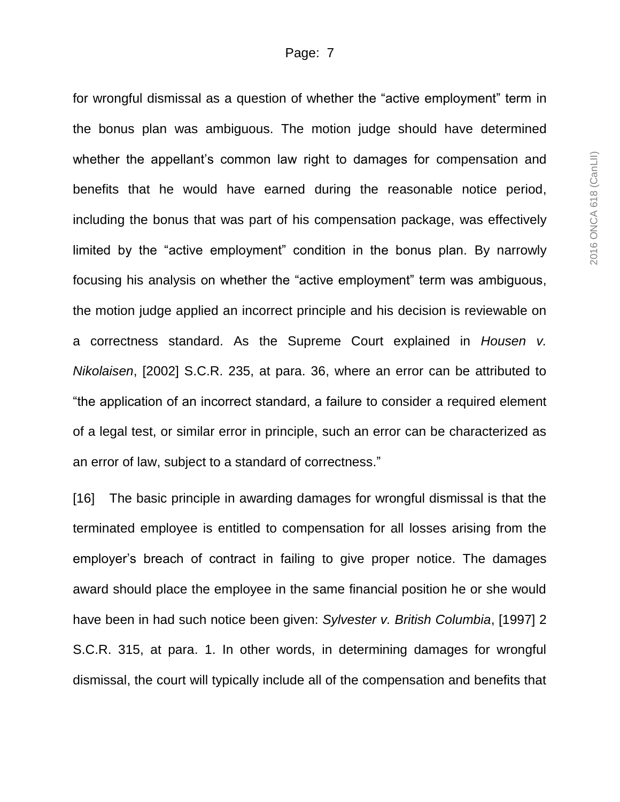for wrongful dismissal as a question of whether the "active employment" term in the bonus plan was ambiguous. The motion judge should have determined whether the appellant's common law right to damages for compensation and benefits that he would have earned during the reasonable notice period, including the bonus that was part of his compensation package, was effectively limited by the "active employment" condition in the bonus plan. By narrowly focusing his analysis on whether the "active employment" term was ambiguous, the motion judge applied an incorrect principle and his decision is reviewable on a correctness standard. As the Supreme Court explained in *Housen v. Nikolaisen*, [2002] S.C.R. 235, at para. 36, where an error can be attributed to "the application of an incorrect standard, a failure to consider a required element of a legal test, or similar error in principle, such an error can be characterized as an error of law, subject to a standard of correctness."

[16] The basic principle in awarding damages for wrongful dismissal is that the terminated employee is entitled to compensation for all losses arising from the employer's breach of contract in failing to give proper notice. The damages award should place the employee in the same financial position he or she would have been in had such notice been given: *Sylvester v. British Columbia*, [1997] 2 S.C.R. 315, at para. 1. In other words, in determining damages for wrongful dismissal, the court will typically include all of the compensation and benefits that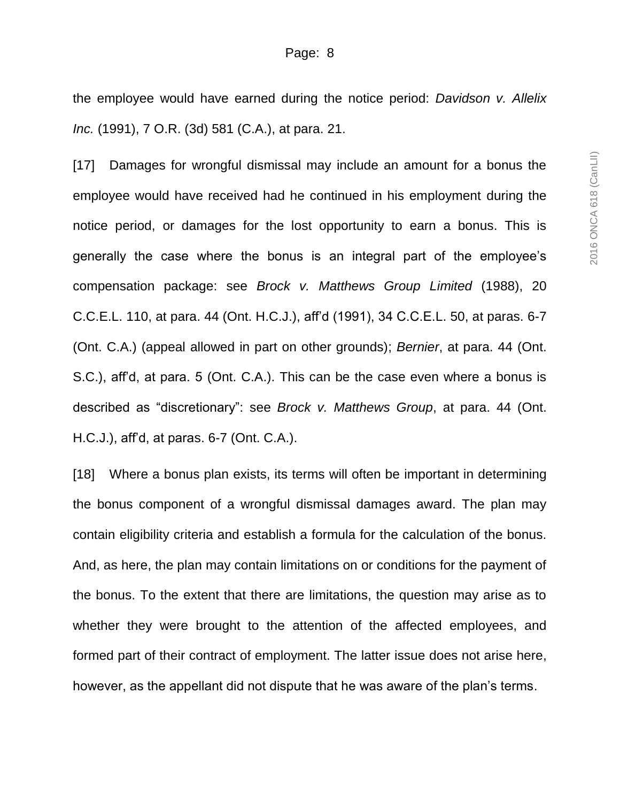the employee would have earned during the notice period: *Davidson v. Allelix Inc.* (1991), 7 O.R. (3d) 581 (C.A.), at para. 21.

[17] Damages for wrongful dismissal may include an amount for a bonus the employee would have received had he continued in his employment during the notice period, or damages for the lost opportunity to earn a bonus. This is generally the case where the bonus is an integral part of the employee's compensation package: see *Brock v. Matthews Group Limited* (1988), 20 C.C.E.L. 110, at para. 44 (Ont. H.C.J.), aff'd (1991), 34 C.C.E.L. 50, at paras. 6-7 (Ont. C.A.) (appeal allowed in part on other grounds); *Bernier*, at para. 44 (Ont. S.C.), aff'd, at para. 5 (Ont. C.A.). This can be the case even where a bonus is described as "discretionary": see *Brock v. Matthews Group*, at para. 44 (Ont. H.C.J.), aff'd, at paras. 6-7 (Ont. C.A.).

[18] Where a bonus plan exists, its terms will often be important in determining the bonus component of a wrongful dismissal damages award. The plan may contain eligibility criteria and establish a formula for the calculation of the bonus. And, as here, the plan may contain limitations on or conditions for the payment of the bonus. To the extent that there are limitations, the question may arise as to whether they were brought to the attention of the affected employees, and formed part of their contract of employment. The latter issue does not arise here, however, as the appellant did not dispute that he was aware of the plan's terms.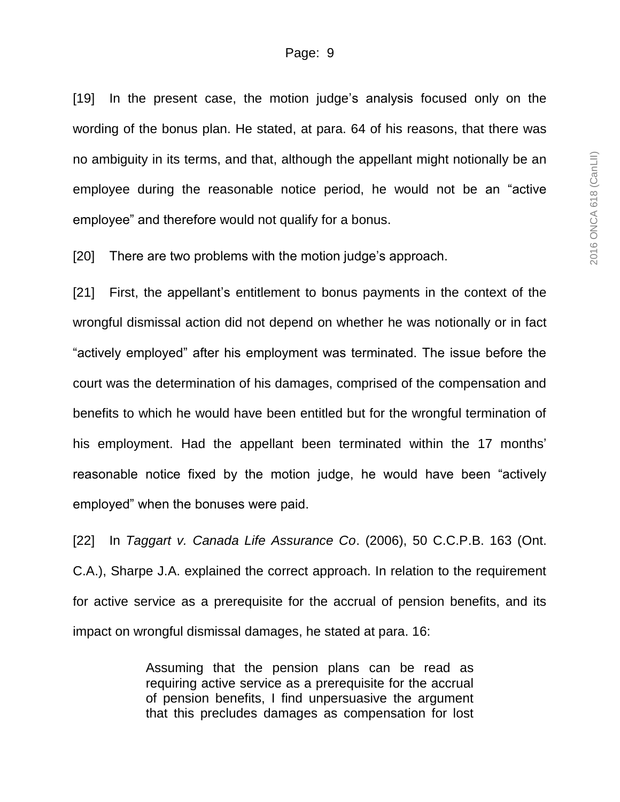[19] In the present case, the motion judge's analysis focused only on the wording of the bonus plan. He stated, at para. 64 of his reasons, that there was no ambiguity in its terms, and that, although the appellant might notionally be an employee during the reasonable notice period, he would not be an "active employee" and therefore would not qualify for a bonus.

[20] There are two problems with the motion judge's approach.

[21] First, the appellant's entitlement to bonus payments in the context of the wrongful dismissal action did not depend on whether he was notionally or in fact "actively employed" after his employment was terminated. The issue before the court was the determination of his damages, comprised of the compensation and benefits to which he would have been entitled but for the wrongful termination of his employment. Had the appellant been terminated within the 17 months' reasonable notice fixed by the motion judge, he would have been "actively employed" when the bonuses were paid.

[22] In *Taggart v. Canada Life Assurance Co*. (2006), 50 C.C.P.B. 163 (Ont. C.A.), Sharpe J.A. explained the correct approach. In relation to the requirement for active service as a prerequisite for the accrual of pension benefits, and its impact on wrongful dismissal damages, he stated at para. 16:

> Assuming that the pension plans can be read as requiring active service as a prerequisite for the accrual of pension benefits, I find unpersuasive the argument that this precludes damages as compensation for lost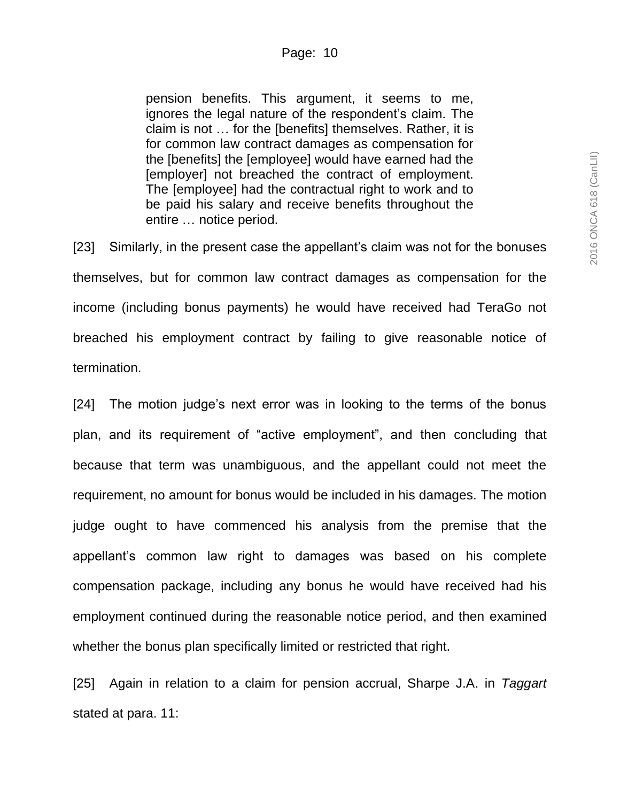pension benefits. This argument, it seems to me, ignores the legal nature of the respondent's claim. The claim is not … for the [benefits] themselves. Rather, it is for common law contract damages as compensation for the [benefits] the [employee] would have earned had the [employer] not breached the contract of employment. The [employee] had the contractual right to work and to be paid his salary and receive benefits throughout the entire … notice period.

[23] Similarly, in the present case the appellant's claim was not for the bonuses themselves, but for common law contract damages as compensation for the income (including bonus payments) he would have received had TeraGo not breached his employment contract by failing to give reasonable notice of termination.

[24] The motion judge's next error was in looking to the terms of the bonus plan, and its requirement of "active employment", and then concluding that because that term was unambiguous, and the appellant could not meet the requirement, no amount for bonus would be included in his damages. The motion judge ought to have commenced his analysis from the premise that the appellant's common law right to damages was based on his complete compensation package, including any bonus he would have received had his employment continued during the reasonable notice period, and then examined whether the bonus plan specifically limited or restricted that right.

[25] Again in relation to a claim for pension accrual, Sharpe J.A. in *Taggart* stated at para. 11: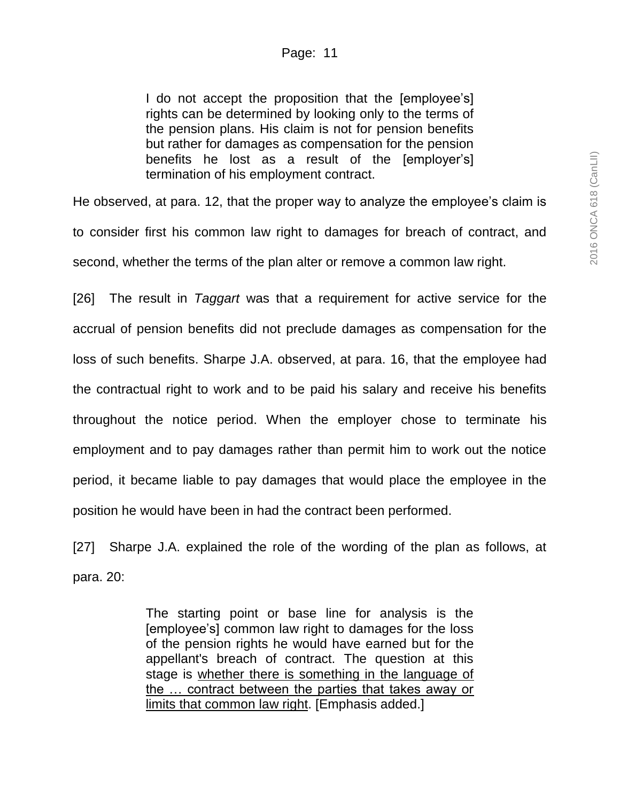I do not accept the proposition that the [employee's] rights can be determined by looking only to the terms of the pension plans. His claim is not for pension benefits but rather for damages as compensation for the pension benefits he lost as a result of the [employer's] termination of his employment contract.

He observed, at para. 12, that the proper way to analyze the employee's claim is to consider first his common law right to damages for breach of contract, and second, whether the terms of the plan alter or remove a common law right.

[26] The result in *Taggart* was that a requirement for active service for the accrual of pension benefits did not preclude damages as compensation for the loss of such benefits. Sharpe J.A. observed, at para. 16, that the employee had the contractual right to work and to be paid his salary and receive his benefits throughout the notice period. When the employer chose to terminate his employment and to pay damages rather than permit him to work out the notice period, it became liable to pay damages that would place the employee in the position he would have been in had the contract been performed.

[27] Sharpe J.A. explained the role of the wording of the plan as follows, at para. 20:

> The starting point or base line for analysis is the [employee's] common law right to damages for the loss of the pension rights he would have earned but for the appellant's breach of contract. The question at this stage is whether there is something in the language of the … contract between the parties that takes away or limits that common law right. [Emphasis added.]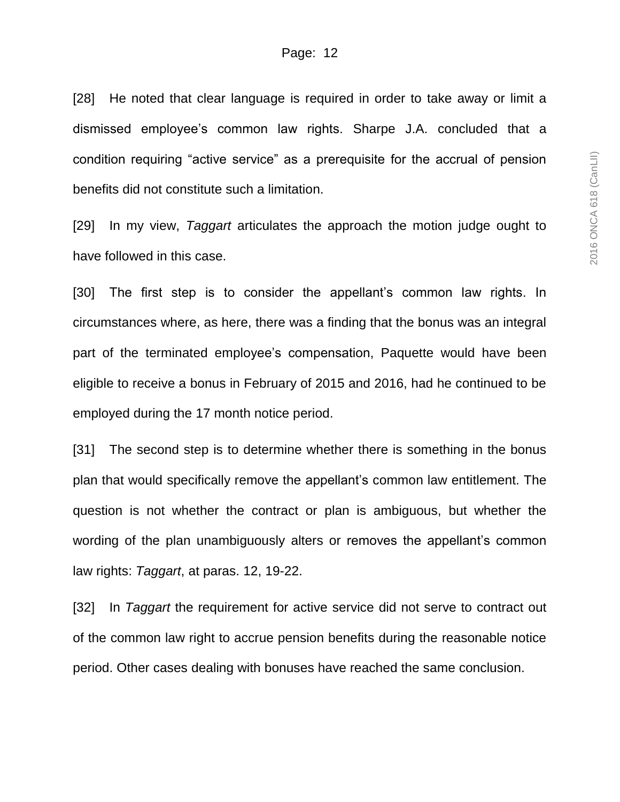[28] He noted that clear language is required in order to take away or limit a dismissed employee's common law rights. Sharpe J.A. concluded that a condition requiring "active service" as a prerequisite for the accrual of pension benefits did not constitute such a limitation.

[29] In my view, *Taggart* articulates the approach the motion judge ought to have followed in this case.

[30] The first step is to consider the appellant's common law rights. In circumstances where, as here, there was a finding that the bonus was an integral part of the terminated employee's compensation, Paquette would have been eligible to receive a bonus in February of 2015 and 2016, had he continued to be employed during the 17 month notice period.

[31] The second step is to determine whether there is something in the bonus plan that would specifically remove the appellant's common law entitlement. The question is not whether the contract or plan is ambiguous, but whether the wording of the plan unambiguously alters or removes the appellant's common law rights: *Taggart*, at paras. 12, 19-22.

[32] In *Taggart* the requirement for active service did not serve to contract out of the common law right to accrue pension benefits during the reasonable notice period. Other cases dealing with bonuses have reached the same conclusion.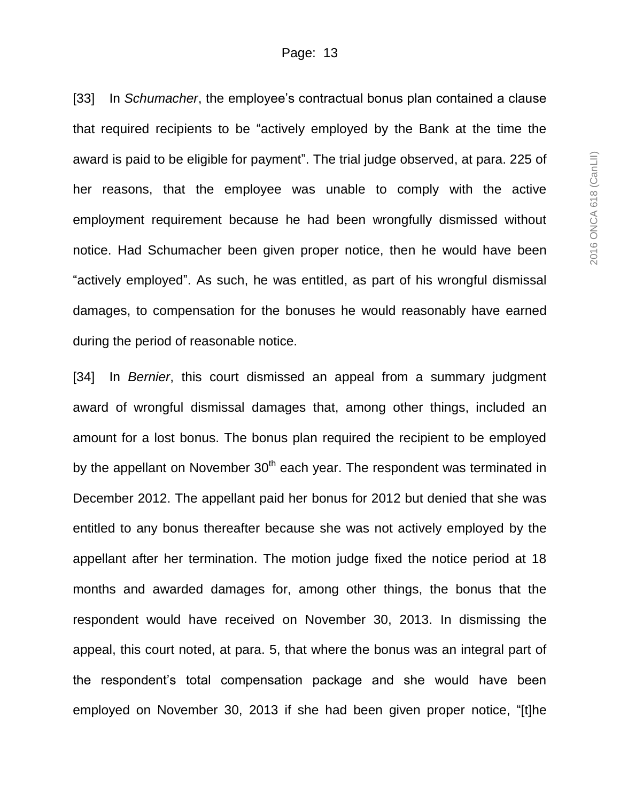[33] In *Schumacher*, the employee's contractual bonus plan contained a clause that required recipients to be "actively employed by the Bank at the time the award is paid to be eligible for payment". The trial judge observed, at para. 225 of her reasons, that the employee was unable to comply with the active employment requirement because he had been wrongfully dismissed without notice. Had Schumacher been given proper notice, then he would have been "actively employed". As such, he was entitled, as part of his wrongful dismissal damages, to compensation for the bonuses he would reasonably have earned during the period of reasonable notice.

[34] In *Bernier*, this court dismissed an appeal from a summary judgment award of wrongful dismissal damages that, among other things, included an amount for a lost bonus. The bonus plan required the recipient to be employed by the appellant on November  $30<sup>th</sup>$  each year. The respondent was terminated in December 2012. The appellant paid her bonus for 2012 but denied that she was entitled to any bonus thereafter because she was not actively employed by the appellant after her termination. The motion judge fixed the notice period at 18 months and awarded damages for, among other things, the bonus that the respondent would have received on November 30, 2013. In dismissing the appeal, this court noted, at para. 5, that where the bonus was an integral part of the respondent's total compensation package and she would have been employed on November 30, 2013 if she had been given proper notice, "[t]he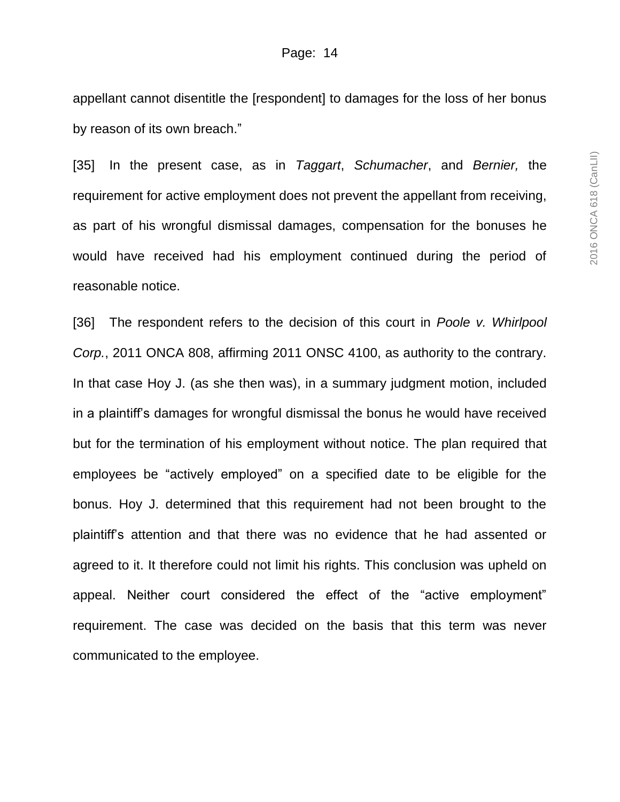appellant cannot disentitle the [respondent] to damages for the loss of her bonus by reason of its own breach."

[35] In the present case, as in *Taggart*, *Schumacher*, and *Bernier,* the requirement for active employment does not prevent the appellant from receiving, as part of his wrongful dismissal damages, compensation for the bonuses he would have received had his employment continued during the period of reasonable notice.

[36] The respondent refers to the decision of this court in *Poole v. Whirlpool Corp.*, 2011 ONCA 808, affirming 2011 ONSC 4100, as authority to the contrary. In that case Hoy J. (as she then was), in a summary judgment motion, included in a plaintiff's damages for wrongful dismissal the bonus he would have received but for the termination of his employment without notice. The plan required that employees be "actively employed" on a specified date to be eligible for the bonus. Hoy J. determined that this requirement had not been brought to the plaintiff's attention and that there was no evidence that he had assented or agreed to it. It therefore could not limit his rights. This conclusion was upheld on appeal. Neither court considered the effect of the "active employment" requirement. The case was decided on the basis that this term was never communicated to the employee.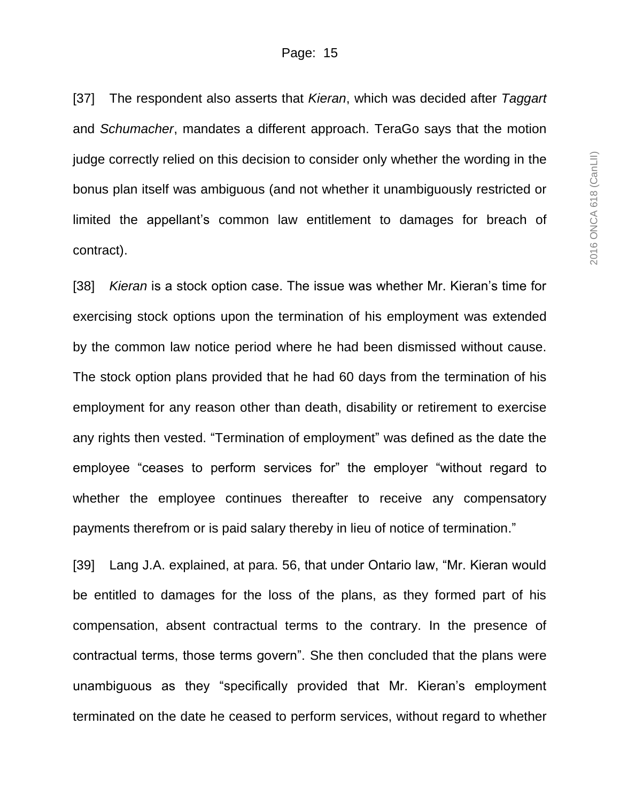[37] The respondent also asserts that *Kieran*, which was decided after *Taggart*  and *Schumacher*, mandates a different approach. TeraGo says that the motion judge correctly relied on this decision to consider only whether the wording in the bonus plan itself was ambiguous (and not whether it unambiguously restricted or limited the appellant's common law entitlement to damages for breach of contract).

[38] *Kieran* is a stock option case. The issue was whether Mr. Kieran's time for exercising stock options upon the termination of his employment was extended by the common law notice period where he had been dismissed without cause. The stock option plans provided that he had 60 days from the termination of his employment for any reason other than death, disability or retirement to exercise any rights then vested. "Termination of employment" was defined as the date the employee "ceases to perform services for" the employer "without regard to whether the employee continues thereafter to receive any compensatory payments therefrom or is paid salary thereby in lieu of notice of termination."

[39] Lang J.A. explained, at para. 56, that under Ontario law, "Mr. Kieran would be entitled to damages for the loss of the plans, as they formed part of his compensation, absent contractual terms to the contrary. In the presence of contractual terms, those terms govern". She then concluded that the plans were unambiguous as they "specifically provided that Mr. Kieran's employment terminated on the date he ceased to perform services, without regard to whether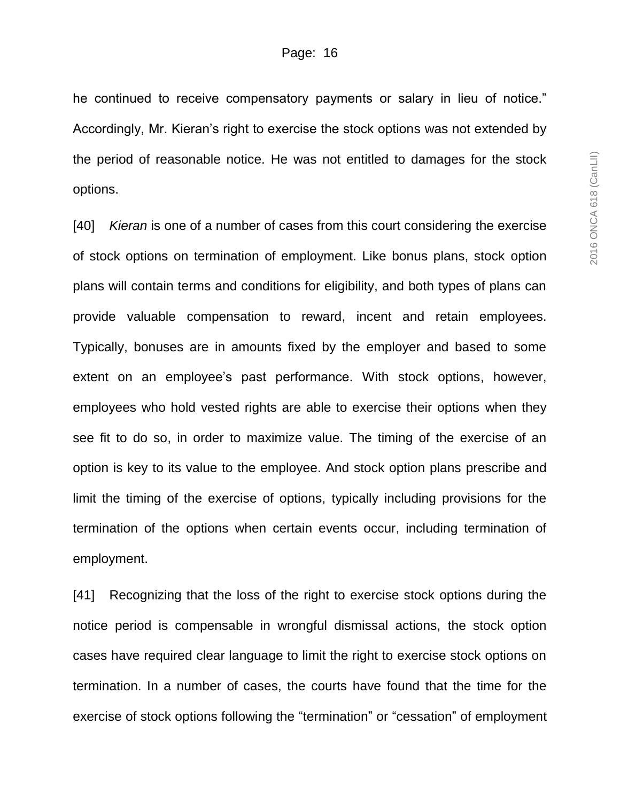he continued to receive compensatory payments or salary in lieu of notice." Accordingly, Mr. Kieran's right to exercise the stock options was not extended by the period of reasonable notice. He was not entitled to damages for the stock options.

[40] *Kieran* is one of a number of cases from this court considering the exercise of stock options on termination of employment. Like bonus plans, stock option plans will contain terms and conditions for eligibility, and both types of plans can provide valuable compensation to reward, incent and retain employees. Typically, bonuses are in amounts fixed by the employer and based to some extent on an employee's past performance. With stock options, however, employees who hold vested rights are able to exercise their options when they see fit to do so, in order to maximize value. The timing of the exercise of an option is key to its value to the employee. And stock option plans prescribe and limit the timing of the exercise of options, typically including provisions for the termination of the options when certain events occur, including termination of employment.

[41] Recognizing that the loss of the right to exercise stock options during the notice period is compensable in wrongful dismissal actions, the stock option cases have required clear language to limit the right to exercise stock options on termination. In a number of cases, the courts have found that the time for the exercise of stock options following the "termination" or "cessation" of employment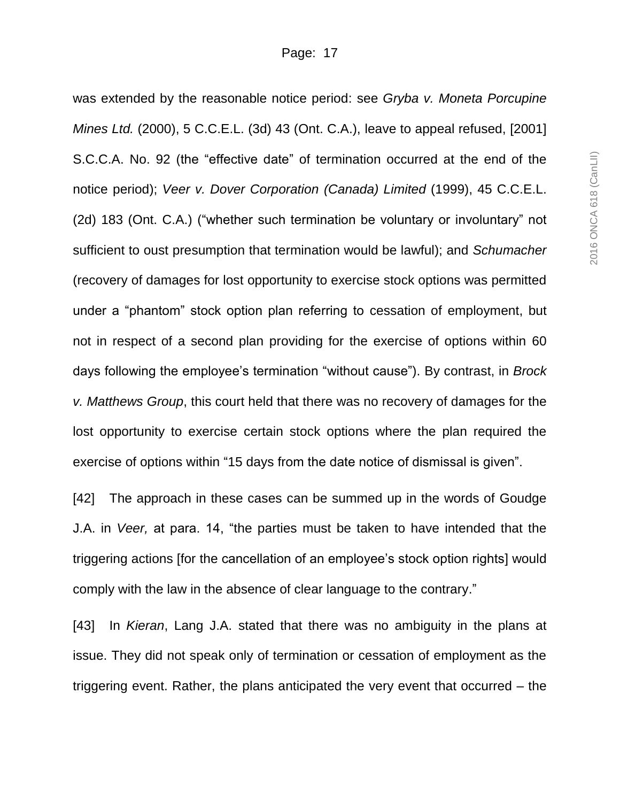was extended by the reasonable notice period: see *Gryba v. Moneta Porcupine Mines Ltd.* (2000), 5 C.C.E.L. (3d) 43 (Ont. C.A.), leave to appeal refused, [2001] S.C.C.A. No. 92 (the "effective date" of termination occurred at the end of the notice period); *Veer v. Dover Corporation (Canada) Limited* (1999), 45 C.C.E.L. (2d) 183 (Ont. C.A.) ("whether such termination be voluntary or involuntary" not sufficient to oust presumption that termination would be lawful); and *Schumacher*  (recovery of damages for lost opportunity to exercise stock options was permitted under a "phantom" stock option plan referring to cessation of employment, but not in respect of a second plan providing for the exercise of options within 60 days following the employee's termination "without cause"). By contrast, in *Brock v. Matthews Group*, this court held that there was no recovery of damages for the lost opportunity to exercise certain stock options where the plan required the exercise of options within "15 days from the date notice of dismissal is given".

[42] The approach in these cases can be summed up in the words of Goudge J.A. in *Veer,* at para. 14, "the parties must be taken to have intended that the triggering actions [for the cancellation of an employee's stock option rights] would comply with the law in the absence of clear language to the contrary."

[43] In *Kieran*, Lang J.A. stated that there was no ambiguity in the plans at issue. They did not speak only of termination or cessation of employment as the triggering event. Rather, the plans anticipated the very event that occurred – the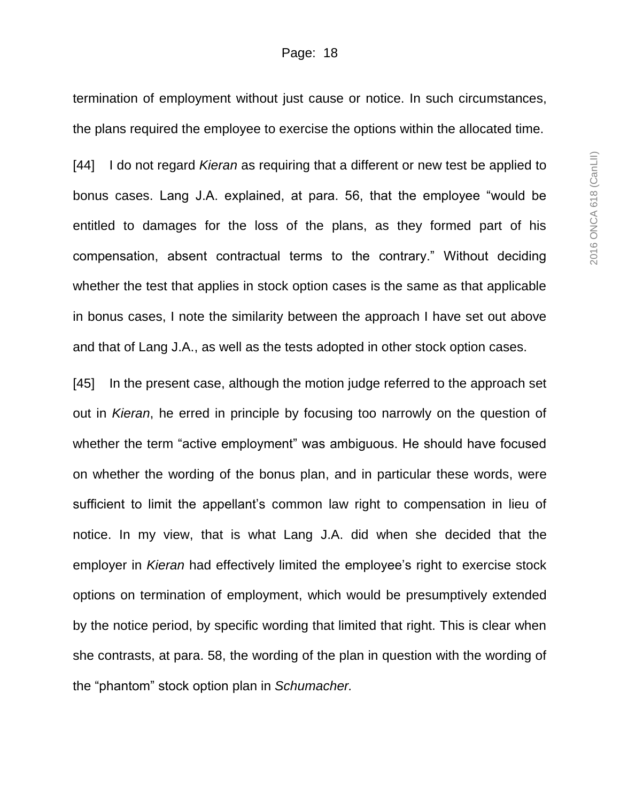termination of employment without just cause or notice. In such circumstances, the plans required the employee to exercise the options within the allocated time.

[44] I do not regard *Kieran* as requiring that a different or new test be applied to bonus cases. Lang J.A. explained, at para. 56, that the employee "would be entitled to damages for the loss of the plans, as they formed part of his compensation, absent contractual terms to the contrary." Without deciding whether the test that applies in stock option cases is the same as that applicable in bonus cases, I note the similarity between the approach I have set out above and that of Lang J.A., as well as the tests adopted in other stock option cases.

[45] In the present case, although the motion judge referred to the approach set out in *Kieran*, he erred in principle by focusing too narrowly on the question of whether the term "active employment" was ambiguous. He should have focused on whether the wording of the bonus plan, and in particular these words, were sufficient to limit the appellant's common law right to compensation in lieu of notice. In my view, that is what Lang J.A. did when she decided that the employer in *Kieran* had effectively limited the employee's right to exercise stock options on termination of employment, which would be presumptively extended by the notice period, by specific wording that limited that right. This is clear when she contrasts, at para. 58, the wording of the plan in question with the wording of the "phantom" stock option plan in *Schumacher.*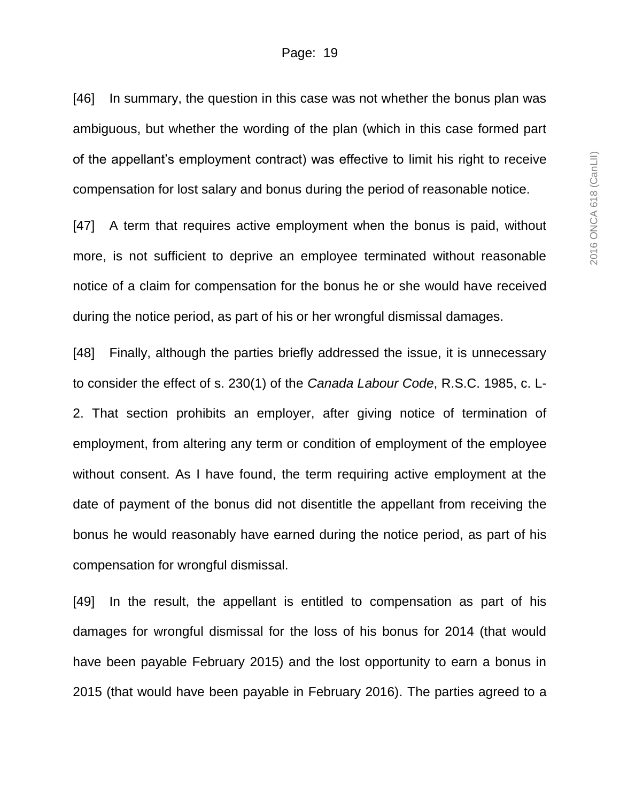[46] In summary, the question in this case was not whether the bonus plan was ambiguous, but whether the wording of the plan (which in this case formed part of the appellant's employment contract) was effective to limit his right to receive compensation for lost salary and bonus during the period of reasonable notice.

[47] A term that requires active employment when the bonus is paid, without more, is not sufficient to deprive an employee terminated without reasonable notice of a claim for compensation for the bonus he or she would have received during the notice period, as part of his or her wrongful dismissal damages.

[48] Finally, although the parties briefly addressed the issue, it is unnecessary to consider the effect of s. 230(1) of the *Canada Labour Code*, R.S.C. 1985, c. L-2. That section prohibits an employer, after giving notice of termination of employment, from altering any term or condition of employment of the employee without consent. As I have found, the term requiring active employment at the date of payment of the bonus did not disentitle the appellant from receiving the bonus he would reasonably have earned during the notice period, as part of his compensation for wrongful dismissal.

[49] In the result, the appellant is entitled to compensation as part of his damages for wrongful dismissal for the loss of his bonus for 2014 (that would have been payable February 2015) and the lost opportunity to earn a bonus in 2015 (that would have been payable in February 2016). The parties agreed to a